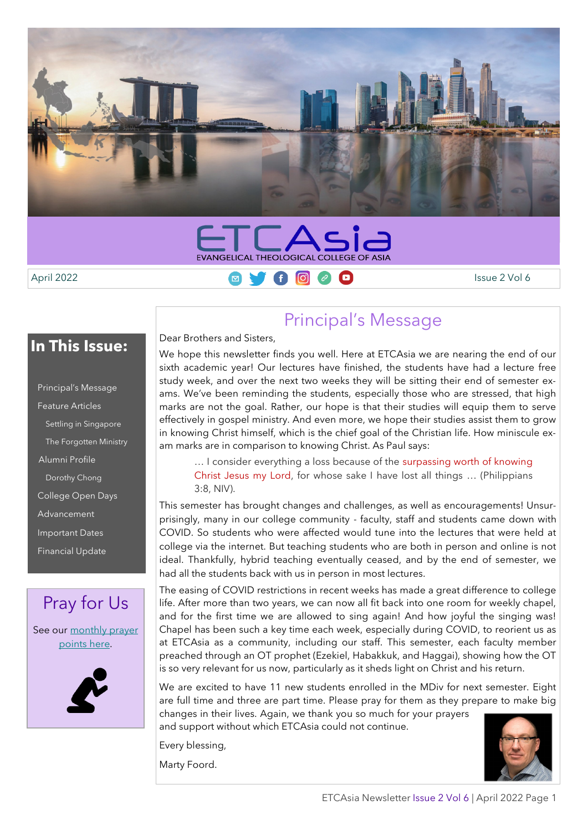



am marks are in comparison to knowing Christ. As Paul says:

April 2022 Issue 2 Vol 6

### **In This Issue:**

Principal's Message Feature Articles Settling in Singapore The Forgotten Ministry Alumni Profile Dorothy Chong College Open Days Advancement Important Dates Financial Update

## Pray for Us

See our monthly prayer [points here.](https://www.etcasia.edu.sg/prayer-for-us/)



### Principal's Message

Dear Brothers and Sisters, We hope this newsletter finds you well. Here at ETCAsia we are nearing the end of our sixth academic year! Our lectures have finished, the students have had a lecture free study week, and over the next two weeks they will be sitting their end of semester exams. We've been reminding the students, especially those who are stressed, that high marks are not the goal. Rather, our hope is that their studies will equip them to serve effectively in gospel ministry. And even more, we hope their studies assist them to grow in knowing Christ himself, which is the chief goal of the Christian life. How miniscule ex-

… I consider everything a loss because of the surpassing worth of knowing Christ Jesus my Lord, for whose sake I have lost all things … (Philippians 3:8, NIV).

This semester has brought changes and challenges, as well as encouragements! Unsurprisingly, many in our college community - faculty, staff and students came down with COVID. So students who were affected would tune into the lectures that were held at college via the internet. But teaching students who are both in person and online is not ideal. Thankfully, hybrid teaching eventually ceased, and by the end of semester, we had all the students back with us in person in most lectures.

The easing of COVID restrictions in recent weeks has made a great difference to college life. After more than two years, we can now all fit back into one room for weekly chapel, and for the first time we are allowed to sing again! And how joyful the singing was! Chapel has been such a key time each week, especially during COVID, to reorient us as at ETCAsia as a community, including our staff. This semester, each faculty member preached through an OT prophet (Ezekiel, Habakkuk, and Haggai), showing how the OT is so very relevant for us now, particularly as it sheds light on Christ and his return.

We are excited to have 11 new students enrolled in the MDiv for next semester. Eight are full time and three are part time. Please pray for them as they prepare to make big changes in their lives. Again, we thank you so much for your prayers and support without which ETCAsia could not continue.

Every blessing,

Marty Foord.

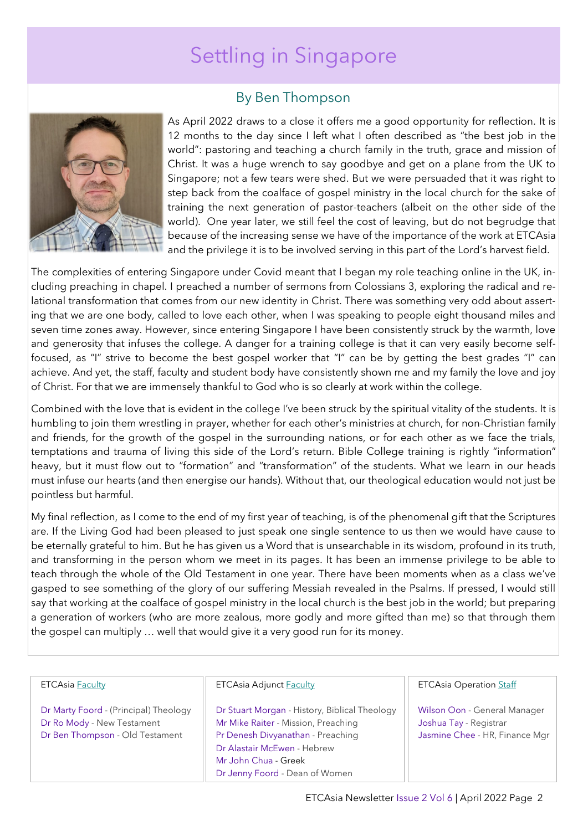# Settling in Singapore



### By Ben Thompson

As April 2022 draws to a close it offers me a good opportunity for reflection. It is 12 months to the day since I left what I often described as "the best job in the world": pastoring and teaching a church family in the truth, grace and mission of Christ. It was a huge wrench to say goodbye and get on a plane from the UK to Singapore; not a few tears were shed. But we were persuaded that it was right to step back from the coalface of gospel ministry in the local church for the sake of training the next generation of pastor-teachers (albeit on the other side of the world). One year later, we still feel the cost of leaving, but do not begrudge that because of the increasing sense we have of the importance of the work at ETCAsia and the privilege it is to be involved serving in this part of the Lord's harvest field.

The complexities of entering Singapore under Covid meant that I began my role teaching online in the UK, including preaching in chapel. I preached a number of sermons from Colossians 3, exploring the radical and relational transformation that comes from our new identity in Christ. There was something very odd about asserting that we are one body, called to love each other, when I was speaking to people eight thousand miles and seven time zones away. However, since entering Singapore I have been consistently struck by the warmth, love and generosity that infuses the college. A danger for a training college is that it can very easily become selffocused, as "I" strive to become the best gospel worker that "I" can be by getting the best grades "I" can achieve. And yet, the staff, faculty and student body have consistently shown me and my family the love and joy of Christ. For that we are immensely thankful to God who is so clearly at work within the college.

Combined with the love that is evident in the college I've been struck by the spiritual vitality of the students. It is humbling to join them wrestling in prayer, whether for each other's ministries at church, for non-Christian family and friends, for the growth of the gospel in the surrounding nations, or for each other as we face the trials, temptations and trauma of living this side of the Lord's return. Bible College training is rightly "information" heavy, but it must flow out to "formation" and "transformation" of the students. What we learn in our heads must infuse our hearts (and then energise our hands). Without that, our theological education would not just be pointless but harmful.

My final reflection, as I come to the end of my first year of teaching, is of the phenomenal gift that the Scriptures are. If the Living God had been pleased to just speak one single sentence to us then we would have cause to be eternally grateful to him. But he has given us a Word that is unsearchable in its wisdom, profound in its truth, and transforming in the person whom we meet in its pages. It has been an immense privilege to be able to teach through the whole of the Old Testament in one year. There have been moments when as a class we've gasped to see something of the glory of our suffering Messiah revealed in the Psalms. If pressed, I would still say that working at the coalface of gospel ministry in the local church is the best job in the world; but preparing a generation of workers (who are more zealous, more godly and more gifted than me) so that through them the gospel can multiply … well that would give it a very good run for its money.

| <b>ETCAsia Faculty</b>                | <b>ETCAsia Adjunct Faculty</b>                | <b>ETCAsia Operation Staff</b> |
|---------------------------------------|-----------------------------------------------|--------------------------------|
|                                       |                                               |                                |
| Dr Marty Foord - (Principal) Theology | Dr Stuart Morgan - History, Biblical Theology | Wilson Oon - General Manager   |
| Dr Ro Mody - New Testament            | Mr Mike Raiter - Mission, Preaching           | Joshua Tay - Registrar         |
| Dr Ben Thompson - Old Testament       | Pr Denesh Divyanathan - Preaching             | Jasmine Chee - HR, Finance Mgr |
|                                       | Dr Alastair McEwen - Hebrew                   |                                |
|                                       | Mr John Chua - Greek                          |                                |
|                                       | Dr Jenny Foord - Dean of Women                |                                |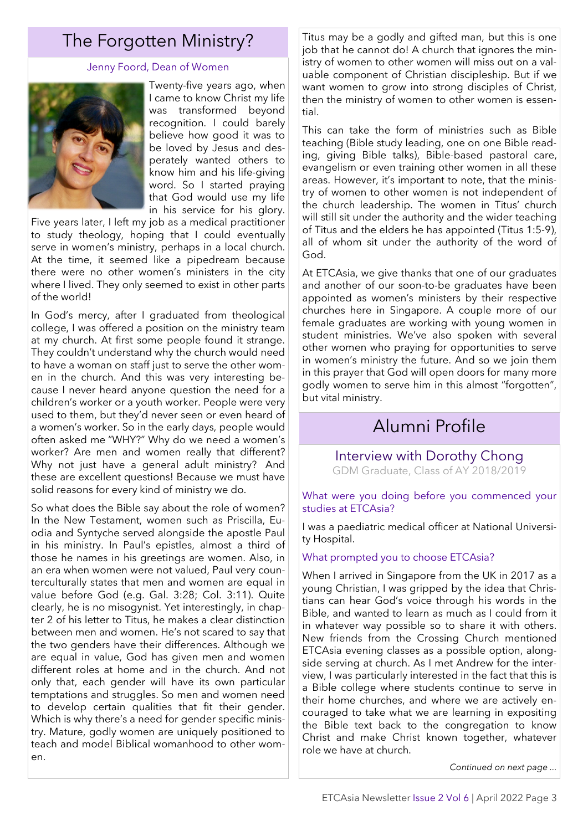#### Jenny Foord, Dean of Women



Twenty-five years ago, when I came to know Christ my life was transformed beyond recognition. I could barely believe how good it was to be loved by Jesus and desperately wanted others to know him and his life-giving word. So I started praying that God would use my life in his service for his glory.

Five years later, I left my job as a medical practitioner to study theology, hoping that I could eventually serve in women's ministry, perhaps in a local church. At the time, it seemed like a pipedream because there were no other women's ministers in the city where I lived. They only seemed to exist in other parts of the world!

In God's mercy, after I graduated from theological college, I was offered a position on the ministry team at my church. At first some people found it strange. They couldn't understand why the church would need to have a woman on staff just to serve the other women in the church. And this was very interesting because I never heard anyone question the need for a children's worker or a youth worker. People were very used to them, but they'd never seen or even heard of a women's worker. So in the early days, people would often asked me "WHY?" Why do we need a women's worker? Are men and women really that different? Why not just have a general adult ministry? And these are excellent questions! Because we must have solid reasons for every kind of ministry we do.

So what does the Bible say about the role of women? In the New Testament, women such as Priscilla, Euodia and Syntyche served alongside the apostle Paul in his ministry. In Paul's epistles, almost a third of those he names in his greetings are women. Also, in an era when women were not valued, Paul very counterculturally states that men and women are equal in value before God (e.g. Gal. 3:28; Col. 3:11). Quite clearly, he is no misogynist. Yet interestingly, in chapter 2 of his letter to Titus, he makes a clear distinction between men and women. He's not scared to say that the two genders have their differences. Although we are equal in value, God has given men and women different roles at home and in the church. And not only that, each gender will have its own particular temptations and struggles. So men and women need to develop certain qualities that fit their gender. Which is why there's a need for gender specific ministry. Mature, godly women are uniquely positioned to teach and model Biblical womanhood to other women.

The Forgotten Ministry?  $\frac{1}{2}$  Titus may be a godly and gifted man, but this is one job that he cannot do! A church that ignores the ministry of women to other women will miss out on a valuable component of Christian discipleship. But if we want women to grow into strong disciples of Christ, then the ministry of women to other women is essential.

> This can take the form of ministries such as Bible teaching (Bible study leading, one on one Bible reading, giving Bible talks), Bible-based pastoral care, evangelism or even training other women in all these areas. However, it's important to note, that the ministry of women to other women is not independent of the church leadership. The women in Titus' church will still sit under the authority and the wider teaching of Titus and the elders he has appointed (Titus 1:5-9), all of whom sit under the authority of the word of God.

> At ETCAsia, we give thanks that one of our graduates and another of our soon-to-be graduates have been appointed as women's ministers by their respective churches here in Singapore. A couple more of our female graduates are working with young women in student ministries. We've also spoken with several other women who praying for opportunities to serve in women's ministry the future. And so we join them in this prayer that God will open doors for many more godly women to serve him in this almost "forgotten", but vital ministry.

### Alumni Profile

Interview with Dorothy Chong GDM Graduate, Class of AY 2018/2019

What were you doing before you commenced your studies at ETCAsia?

I was a paediatric medical officer at National University Hospital.

#### What prompted you to choose ETCAsia?

When I arrived in Singapore from the UK in 2017 as a young Christian, I was gripped by the idea that Christians can hear God's voice through his words in the Bible, and wanted to learn as much as I could from it in whatever way possible so to share it with others. New friends from the Crossing Church mentioned ETCAsia evening classes as a possible option, alongside serving at church. As I met Andrew for the interview, I was particularly interested in the fact that this is a Bible college where students continue to serve in their home churches, and where we are actively encouraged to take what we are learning in expositing the Bible text back to the congregation to know Christ and make Christ known together, whatever role we have at church.

*Continued on next page ...*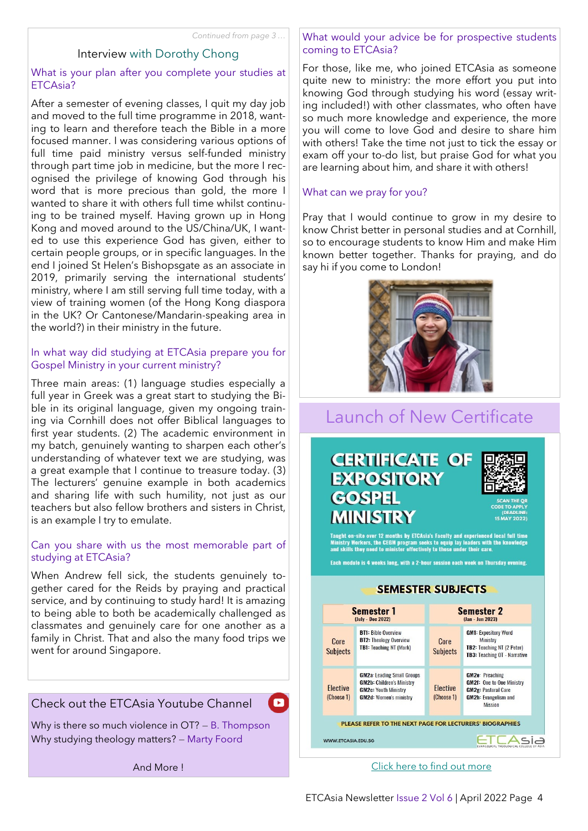### Interview with Dorothy Chong

#### What is your plan after you complete your studies at ETCAsia?

After a semester of evening classes, I quit my day job and moved to the full time programme in 2018, wanting to learn and therefore teach the Bible in a more focused manner. I was considering various options of full time paid ministry versus self-funded ministry through part time job in medicine, but the more I recognised the privilege of knowing God through his word that is more precious than gold, the more I wanted to share it with others full time whilst continuing to be trained myself. Having grown up in Hong Kong and moved around to the US/China/UK, I wanted to use this experience God has given, either to certain people groups, or in specific languages. In the end I joined St Helen's Bishopsgate as an associate in 2019, primarily serving the international students' ministry, where I am still serving full time today, with a view of training women (of the Hong Kong diaspora in the UK? Or Cantonese/Mandarin-speaking area in the world?) in their ministry in the future.

#### In what way did studying at ETCAsia prepare you for Gospel Ministry in your current ministry?

Three main areas: (1) language studies especially a full year in Greek was a great start to studying the Bible in its original language, given my ongoing training via Cornhill does not offer Biblical languages to first year students. (2) The academic environment in my batch, genuinely wanting to sharpen each other's understanding of whatever text we are studying, was a great example that I continue to treasure today. (3) The lecturers' genuine example in both academics and sharing life with such humility, not just as our teachers but also fellow brothers and sisters in Christ, is an example I try to emulate.

#### Can you share with us the most memorable part of studying at ETCAsia?

When Andrew fell sick, the students genuinely together cared for the Reids by praying and practical service, and by continuing to study hard! It is amazing to being able to both be academically challenged as classmates and genuinely care for one another as a family in Christ. That and also the many food trips we went for around Singapore.

### Check out the ETCAsia Youtube Channel

Why is there so much violence in OT? — B. Thompson Why studying theology matters? — Marty Foord

 $\blacksquare$ 

And More !

What would your advice be for prospective students coming to ETCAsia?

For those, like me, who joined ETCAsia as someone quite new to ministry: the more effort you put into knowing God through studying his word (essay writing included!) with other classmates, who often have so much more knowledge and experience, the more you will come to love God and desire to share him with others! Take the time not just to tick the essay or exam off your to-do list, but praise God for what you are learning about him, and share it with others!

#### What can we pray for you?

Pray that I would continue to grow in my desire to know Christ better in personal studies and at Cornhill, so to encourage students to know Him and make Him known better together. Thanks for praying, and do say hi if you come to London!



### Launch of New Certificate





Taught on-site over 12 months by ETCAsia's Faculty and experienced local full time<br>Ministry Workers, the CEGM program seeks to equip lay leaders with the knowledge<br>and skills they need to minister effectively to those unde

Each module is 4 weeks long, with a 2-hour session each week on Thursday evening.

**SEMESTER SUBJECTS** 

#### **Semester 1 Semester 2** (July - Dec 2022) (Jan - Jun 2023) **BT1:** Bible Overview **GM1:** Expository Word Ministry **BT2:** Theology Overview Core Core **TB1:** Teaching NT (Mark) TB2: Teaching NT (2 Peter) **Subjects Subjects** TB3: Teaching OT - Narrative **GM2e: Preaching<br>GM2f: One to One Ministry GM2a: Leading Small Groups GM2b: Children's Ministry Flective Flective GM2c: Youth Ministry GM2g: Pastoral Care** (Choose 1) (Choose 1) **GM2h:** Evangelism and **GM2d: Women's ministry Mission** PLEASE REFER TO THE NEXT PAGE FOR LECTURERS' BIOGRAPHIES WWW.ETCASIA.EDU.SG ETCAsia

#### [Click here to find out more](https://www.etcasia.edu.sg/cegm-enrolment/)